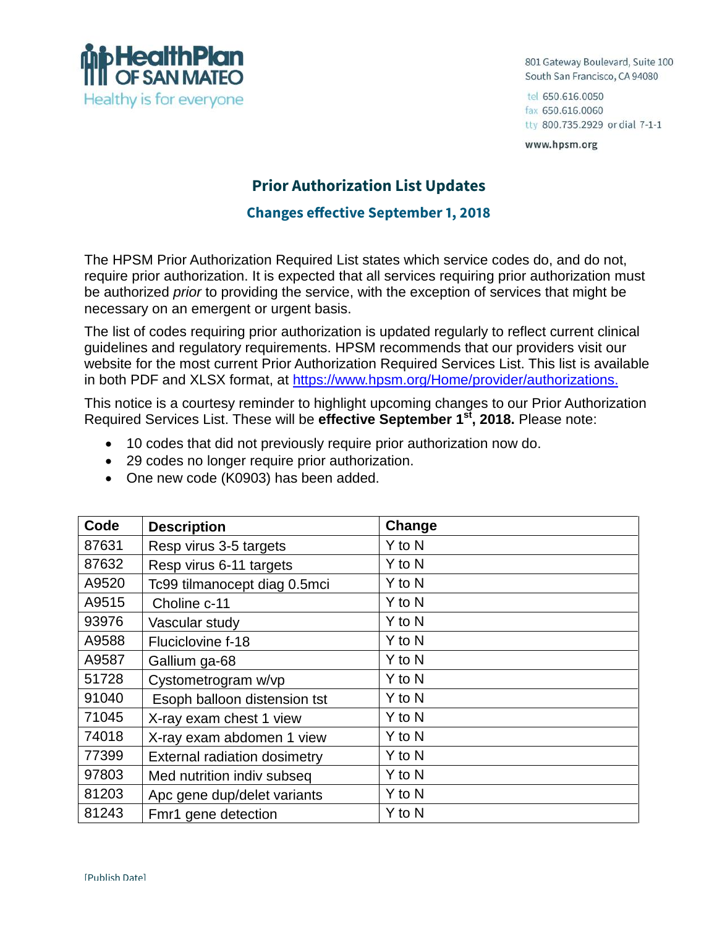

801 Gateway Boulevard, Suite 100 South San Francisco, CA 94080

tel 650.616.0050 fax 650.616.0060 tty 800.735.2929 or dial 7-1-1

www.hpsm.org

## **Prior Authorization List Updates**

## **Changes effective September 1, 2018**

The HPSM Prior Authorization Required List states which service codes do, and do not, require prior authorization. It is expected that all services requiring prior authorization must be authorized *prior* to providing the service, with the exception of services that might be necessary on an emergent or urgent basis.

The list of codes requiring prior authorization is updated regularly to reflect current clinical guidelines and regulatory requirements. HPSM recommends that our providers visit our website for the most current Prior Authorization Required Services List. This list is available in both PDF and XLSX format, at https://www.hpsm.org/Home/provider/authorizations.

This notice is a courtesy reminder to highlight upcoming changes to our Prior Authorization Required Services List. These will be **effective September 1st, 2018.** Please note:

- 10 codes that did not previously require prior authorization now do.
- 29 codes no longer require prior authorization.
- One new code (K0903) has been added.

| Code  | <b>Description</b>                  | Change |
|-------|-------------------------------------|--------|
| 87631 | Resp virus 3-5 targets              | Y to N |
| 87632 | Resp virus 6-11 targets             | Y to N |
| A9520 | Tc99 tilmanocept diag 0.5mci        | Y to N |
| A9515 | Choline c-11                        | Y to N |
| 93976 | Vascular study                      | Y to N |
| A9588 | Fluciclovine f-18                   | Y to N |
| A9587 | Gallium ga-68                       | Y to N |
| 51728 | Cystometrogram w/vp                 | Y to N |
| 91040 | Esoph balloon distension tst        | Y to N |
| 71045 | X-ray exam chest 1 view             | Y to N |
| 74018 | X-ray exam abdomen 1 view           | Y to N |
| 77399 | <b>External radiation dosimetry</b> | Y to N |
| 97803 | Med nutrition indiv subseq          | Y to N |
| 81203 | Apc gene dup/delet variants         | Y to N |
| 81243 | Fmr1 gene detection                 | Y to N |